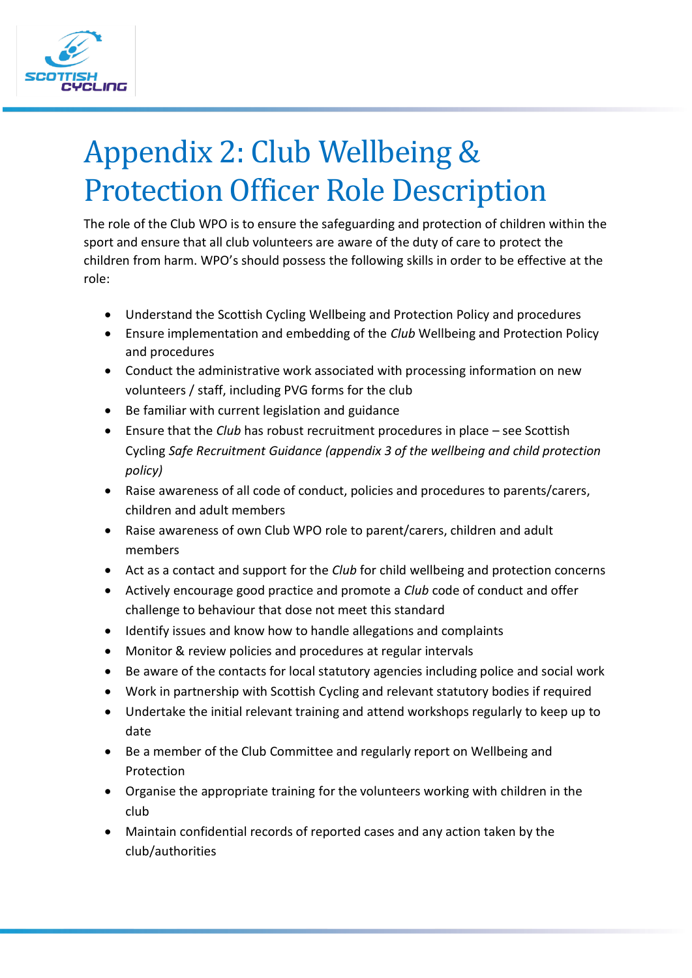

# Appendix 2: Club Wellbeing & Protection Officer Role Description

The role of the Club WPO is to ensure the safeguarding and protection of children within the sport and ensure that all club volunteers are aware of the duty of care to protect the children from harm. WPO's should possess the following skills in order to be effective at the role:

- Understand the Scottish Cycling Wellbeing and Protection Policy and procedures
- Ensure implementation and embedding of the *Club* Wellbeing and Protection Policy and procedures
- Conduct the administrative work associated with processing information on new volunteers / staff, including PVG forms for the club
- Be familiar with current legislation and guidance
- Ensure that the *Club* has robust recruitment procedures in place see Scottish Cycling *Safe Recruitment Guidance (appendix 3 of the wellbeing and child protection policy)*
- Raise awareness of all code of conduct, policies and procedures to parents/carers, children and adult members
- Raise awareness of own Club WPO role to parent/carers, children and adult members
- Act as a contact and support for the *Club* for child wellbeing and protection concerns
- Actively encourage good practice and promote a *Club* code of conduct and offer challenge to behaviour that dose not meet this standard
- Identify issues and know how to handle allegations and complaints
- Monitor & review policies and procedures at regular intervals
- Be aware of the contacts for local statutory agencies including police and social work
- Work in partnership with Scottish Cycling and relevant statutory bodies if required
- Undertake the initial relevant training and attend workshops regularly to keep up to date
- Be a member of the Club Committee and regularly report on Wellbeing and Protection
- Organise the appropriate training for the volunteers working with children in the club
- Maintain confidential records of reported cases and any action taken by the club/authorities